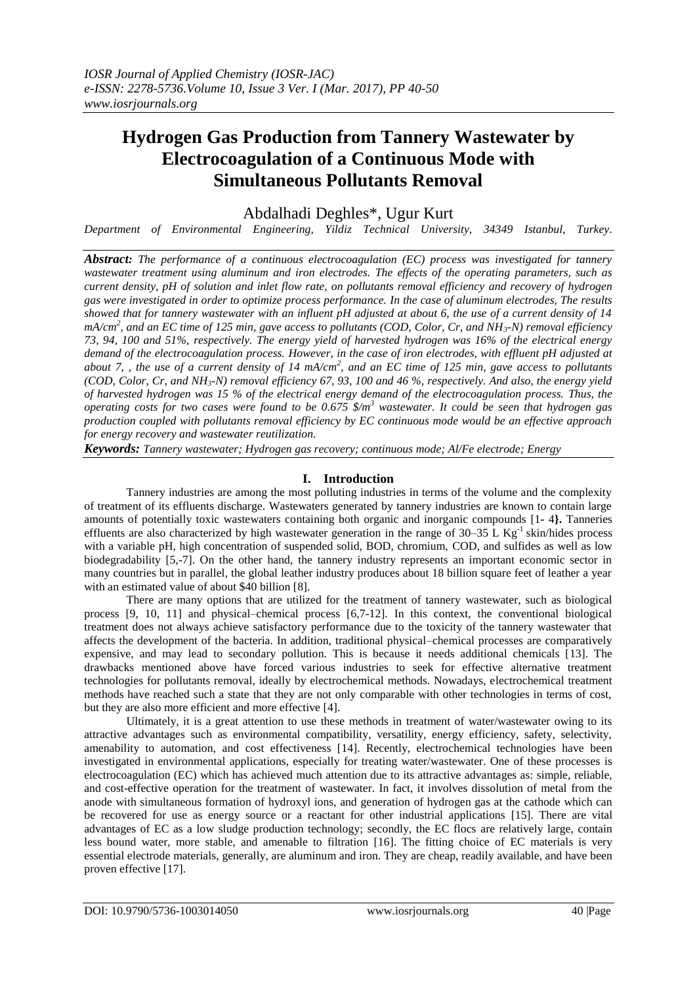# **Hydrogen Gas Production from Tannery Wastewater by Electrocoagulation of a Continuous Mode with Simultaneous Pollutants Removal**

Abdalhadi Deghles\*, Ugur Kurt

*Department of Environmental Engineering, Yildiz Technical University, 34349 Istanbul, Turkey.*

*Abstract: The performance of a continuous electrocoagulation (EC) process was investigated for tannery wastewater treatment using aluminum and iron electrodes. The effects of the operating parameters, such as current density, pH of solution and inlet flow rate, on pollutants removal efficiency and recovery of hydrogen gas were investigated in order to optimize process performance. In the case of aluminum electrodes, The results showed that for tannery wastewater with an influent pH adjusted at about 6, the use of a current density of 14 mA/cm<sup>2</sup> , and an EC time of 125 min, gave access to pollutants (COD, Color, Cr, and NH3-N) removal efficiency 73, 94, 100 and 51%, respectively. The energy yield of harvested hydrogen was 16% of the electrical energy demand of the electrocoagulation process. However, in the case of iron electrodes, with effluent pH adjusted at*  about 7,, the use of a current density of 14 mA/cm<sup>2</sup>, and an EC time of 125 min, gave access to pollutants *(COD, Color, Cr, and NH3-N) removal efficiency 67, 93, 100 and 46 %, respectively. And also, the energy yield of harvested hydrogen was 15 % of the electrical energy demand of the electrocoagulation process. Thus, the operating costs for two cases were found to be 0.675 \$/m<sup>3</sup> wastewater. It could be seen that hydrogen gas production coupled with pollutants removal efficiency by EC continuous mode would be an effective approach for energy recovery and wastewater reutilization.* 

*Keywords: Tannery wastewater; Hydrogen gas recovery; continuous mode; Al/Fe electrode; Energy* 

# **I. Introduction**

Tannery industries are among the most polluting industries in terms of the volume and the complexity of treatment of its effluents discharge. Wastewaters generated by tannery industries are known to contain large amounts of potentially toxic wastewaters containing both organic and inorganic compounds [1**-** 4**}.** Tanneries effluents are also characterized by high wastewater generation in the range of  $30-35$  L Kg<sup>-1</sup> skin/hides process with a variable pH, high concentration of suspended solid, BOD, chromium, COD, and sulfides as well as low biodegradability [5,-7]. On the other hand, the tannery industry represents an important economic sector in many countries but in parallel, the global leather industry produces about 18 billion square feet of leather a year with an estimated value of about \$40 billion [8].

There are many options that are utilized for the treatment of tannery wastewater, such as biological process [9, 10, 11] and physical–chemical process [6,7-12]. In this context, the conventional biological treatment does not always achieve satisfactory performance due to the toxicity of the tannery wastewater that affects the development of the bacteria. In addition, traditional physical–chemical processes are comparatively expensive, and may lead to secondary pollution. This is because it needs additional chemicals [13]. The drawbacks mentioned above have forced various industries to seek for effective alternative treatment technologies for pollutants removal, ideally by electrochemical methods. Nowadays, electrochemical treatment methods have reached such a state that they are not only comparable with other technologies in terms of cost, but they are also more efficient and more effective [4].

Ultimately, it is a great attention to use these methods in treatment of water/wastewater owing to its attractive advantages such as environmental compatibility, versatility, energy efficiency, safety, selectivity, amenability to automation, and cost effectiveness [14]. Recently, electrochemical technologies have been investigated in environmental applications, especially for treating water/wastewater. One of these processes is electrocoagulation (EC) which has achieved much attention due to its attractive advantages as: simple, reliable, and cost-effective operation for the treatment of wastewater. In fact, it involves dissolution of metal from the anode with simultaneous formation of hydroxyl ions, and generation of hydrogen gas at the cathode which can be recovered for use as energy source or a reactant for other industrial applications [15]. There are vital advantages of EC as a low sludge production technology; secondly, the EC flocs are relatively large, contain less bound water, more stable, and amenable to filtration [16]. The fitting choice of EC materials is very essential electrode materials, generally, are aluminum and iron. They are cheap, readily available, and have been proven effective [17].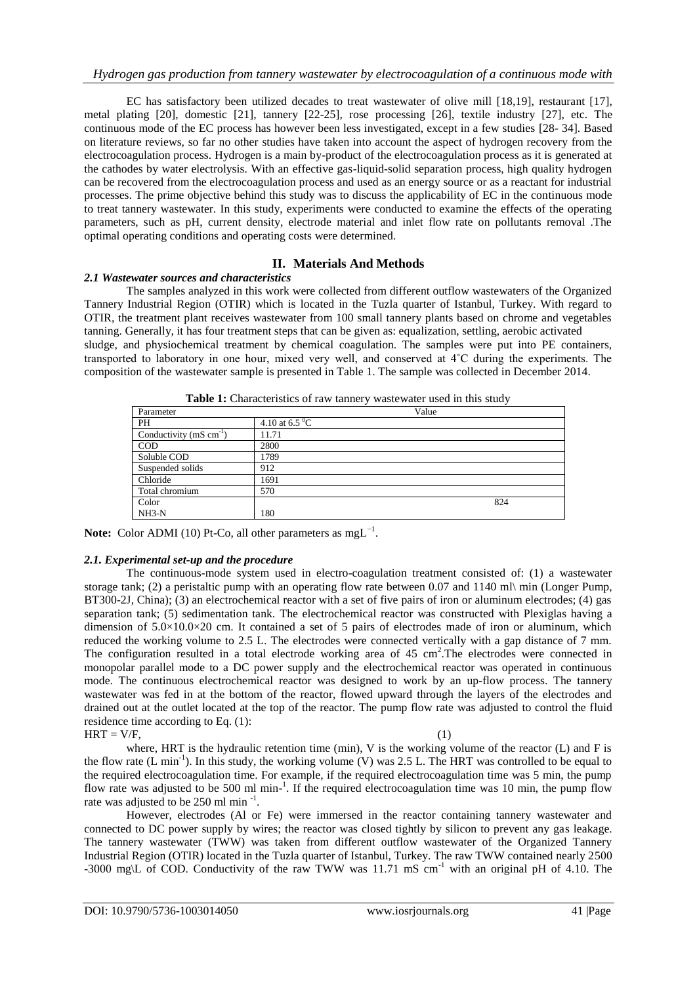EC has satisfactory been utilized decades to treat wastewater of olive mill [18,19], restaurant [17], metal plating [20], domestic [21], tannery [22-25], rose processing [26], textile industry [27], etc. The continuous mode of the EC process has however been less investigated, except in a few studies [28- 34]. Based on literature reviews, so far no other studies have taken into account the aspect of hydrogen recovery from the electrocoagulation process. Hydrogen is a main by-product of the electrocoagulation process as it is generated at the cathodes by water electrolysis. With an effective gas-liquid-solid separation process, high quality hydrogen can be recovered from the electrocoagulation process and used as an energy source or as a reactant for industrial processes. The prime objective behind this study was to discuss the applicability of EC in the continuous mode to treat tannery wastewater. In this study, experiments were conducted to examine the effects of the operating parameters, such as pH, current density, electrode material and inlet flow rate on pollutants removal .The optimal operating conditions and operating costs were determined.

# **II. Materials And Methods**

### *2.1 Wastewater sources and characteristics*

The samples analyzed in this work were collected from different outflow wastewaters of the Organized Tannery Industrial Region (OTIR) which is located in the Tuzla quarter of Istanbul, Turkey. With regard to OTIR, the treatment plant receives wastewater from 100 small tannery plants based on chrome and vegetables tanning. Generally, it has four treatment steps that can be given as: equalization, settling, aerobic activated sludge, and physiochemical treatment by chemical coagulation. The samples were put into PE containers, transported to laboratory in one hour, mixed very well, and conserved at 4˚C during the experiments. The composition of the wastewater sample is presented in Table 1. The sample was collected in December 2014.

| Parameter                              |                          | Value |     |
|----------------------------------------|--------------------------|-------|-----|
| PH                                     | 4.10 at 6.5 $^{\circ}$ C |       |     |
| Conductivity ( $mS$ cm <sup>-1</sup> ) | 11.71                    |       |     |
| <b>COD</b>                             | 2800                     |       |     |
| Soluble COD                            | 1789                     |       |     |
| Suspended solids                       | 912                      |       |     |
| Chloride                               | 1691                     |       |     |
| Total chromium                         | 570                      |       |     |
| Color                                  |                          |       | 824 |
| $NH3-N$                                | 180                      |       |     |
|                                        |                          |       |     |

| Table 1: Characteristics of raw tannery wastewater used in this study |  |
|-----------------------------------------------------------------------|--|
|-----------------------------------------------------------------------|--|

Note: Color ADMI (10) Pt-Co, all other parameters as mgL<sup>-1</sup>.

# *2.1. Experimental set-up and the procedure*

The continuous-mode system used in electro-coagulation treatment consisted of: (1) a wastewater storage tank; (2) a peristaltic pump with an operating flow rate between 0.07 and 1140 ml\ min (Longer Pump, BT300-2J, China); (3) an electrochemical reactor with a set of five pairs of iron or aluminum electrodes; (4) gas separation tank; (5) sedimentation tank. The electrochemical reactor was constructed with Plexiglas having a dimension of 5.0×10.0×20 cm. It contained a set of 5 pairs of electrodes made of iron or aluminum, which reduced the working volume to 2.5 L. The electrodes were connected vertically with a gap distance of 7 mm. The configuration resulted in a total electrode working area of  $45 \text{ cm}^2$ . The electrodes were connected in monopolar parallel mode to a DC power supply and the electrochemical reactor was operated in continuous mode. The continuous electrochemical reactor was designed to work by an up-flow process. The tannery wastewater was fed in at the bottom of the reactor, flowed upward through the layers of the electrodes and drained out at the outlet located at the top of the reactor. The pump flow rate was adjusted to control the fluid residence time according to Eq. (1):  $HRT = V/F$ , (1)

where, HRT is the hydraulic retention time (min), V is the working volume of the reactor (L) and F is the flow rate  $(L \text{ min}^{-1})$ . In this study, the working volume  $(V)$  was 2.5 L. The HRT was controlled to be equal to the required electrocoagulation time. For example, if the required electrocoagulation time was 5 min, the pump flow rate was adjusted to be 500 ml min-<sup>1</sup>. If the required electrocoagulation time was 10 min, the pump flow rate was adjusted to be 250 ml min $^{-1}$ .

However, electrodes (Al or Fe) were immersed in the reactor containing tannery wastewater and connected to DC power supply by wires; the reactor was closed tightly by silicon to prevent any gas leakage. The tannery wastewater (TWW) was taken from different outflow wastewater of the Organized Tannery Industrial Region (OTIR) located in the Tuzla quarter of Istanbul, Turkey. The raw TWW contained nearly 2500 -3000 mg\L of COD. Conductivity of the raw TWW was 11.71 mS cm<sup>-1</sup> with an original pH of 4.10. The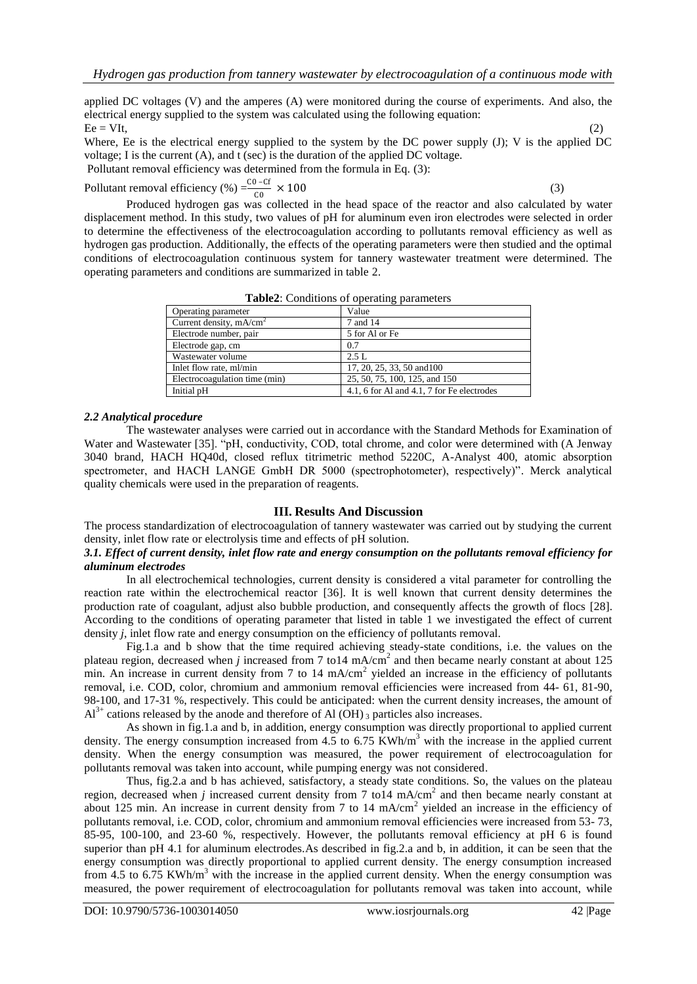applied DC voltages (V) and the amperes (A) were monitored during the course of experiments. And also, the electrical energy supplied to the system was calculated using the following equation:  $E = VIt$ , (2)

Where, Ee is the electrical energy supplied to the system by the DC power supply  $(J)$ ; V is the applied DC voltage; I is the current (A), and t (sec) is the duration of the applied DC voltage.

Pollutant removal efficiency was determined from the formula in Eq. (3):

Pollutant removal efficiency (%) =  $\frac{C_0 - C_f}{C_0} \times 100$  (3)

Produced hydrogen gas was collected in the head space of the reactor and also calculated by water displacement method. In this study, two values of pH for aluminum even iron electrodes were selected in order to determine the effectiveness of the electrocoagulation according to pollutants removal efficiency as well as hydrogen gas production. Additionally, the effects of the operating parameters were then studied and the optimal conditions of electrocoagulation continuous system for tannery wastewater treatment were determined. The operating parameters and conditions are summarized in table 2.

| <b>Table2:</b> Conditions of operating parameters |
|---------------------------------------------------|
|                                                   |

| Value                                      |
|--------------------------------------------|
| 7 and 14                                   |
| 5 for Al or Fe                             |
| 0.7                                        |
| 2.5 L                                      |
| 17, 20, 25, 33, 50 and 100                 |
| 25, 50, 75, 100, 125, and 150              |
| 4.1, 6 for Al and 4.1, 7 for Fe electrodes |
|                                            |

### *2.2 Analytical procedure*

The wastewater analyses were carried out in accordance with the Standard Methods for Examination of Water and Wastewater [35]. "pH, conductivity, COD, total chrome, and color were determined with (A Jenway 3040 brand, HACH HQ40d, closed reflux titrimetric method 5220C, A-Analyst 400, atomic absorption spectrometer, and HACH LANGE GmbH DR 5000 (spectrophotometer), respectively)". Merck analytical quality chemicals were used in the preparation of reagents.

#### **III. Results And Discussion**

The process standardization of electrocoagulation of tannery wastewater was carried out by studying the current density, inlet flow rate or electrolysis time and effects of pH solution.

#### *3.1. Effect of current density, inlet flow rate and energy consumption on the pollutants removal efficiency for aluminum electrodes*

In all electrochemical technologies, current density is considered a vital parameter for controlling the reaction rate within the electrochemical reactor [36]. It is well known that current density determines the production rate of coagulant, adjust also bubble production, and consequently affects the growth of flocs [28]. According to the conditions of operating parameter that listed in table 1 we investigated the effect of current density *j*, inlet flow rate and energy consumption on the efficiency of pollutants removal.

Fig.1.a and b show that the time required achieving steady-state conditions, i.e. the values on the plateau region, decreased when *j* increased from 7 to 14 mA/cm<sup>2</sup> and then became nearly constant at about 125 min. An increase in current density from 7 to 14  $mA/cm<sup>2</sup>$  yielded an increase in the efficiency of pollutants removal, i.e. COD, color, chromium and ammonium removal efficiencies were increased from 44- 61, 81-90, 98-100, and 17-31 %, respectively. This could be anticipated: when the current density increases, the amount of  $Al^{3+}$  cations released by the anode and therefore of Al (OH)<sub>3</sub> particles also increases.

As shown in fig.1.a and b, in addition, energy consumption was directly proportional to applied current density. The energy consumption increased from 4.5 to 6.75 KWh/m<sup>3</sup> with the increase in the applied current density. When the energy consumption was measured, the power requirement of electrocoagulation for pollutants removal was taken into account, while pumping energy was not considered.

Thus, fig.2.a and b has achieved, satisfactory, a steady state conditions. So, the values on the plateau region, decreased when *j* increased current density from 7 to 14 mA/cm<sup>2</sup> and then became nearly constant at about 125 min. An increase in current density from 7 to 14 mA/cm<sup>2</sup> yielded an increase in the efficiency of pollutants removal, i.e. COD, color, chromium and ammonium removal efficiencies were increased from 53- 73, 85-95, 100-100, and 23-60 %, respectively. However, the pollutants removal efficiency at pH 6 is found superior than pH 4.1 for aluminum electrodes. As described in fig.2.a and b, in addition, it can be seen that the energy consumption was directly proportional to applied current density. The energy consumption increased from 4.5 to 6.75 KWh/m<sup>3</sup> with the increase in the applied current density. When the energy consumption was measured, the power requirement of electrocoagulation for pollutants removal was taken into account, while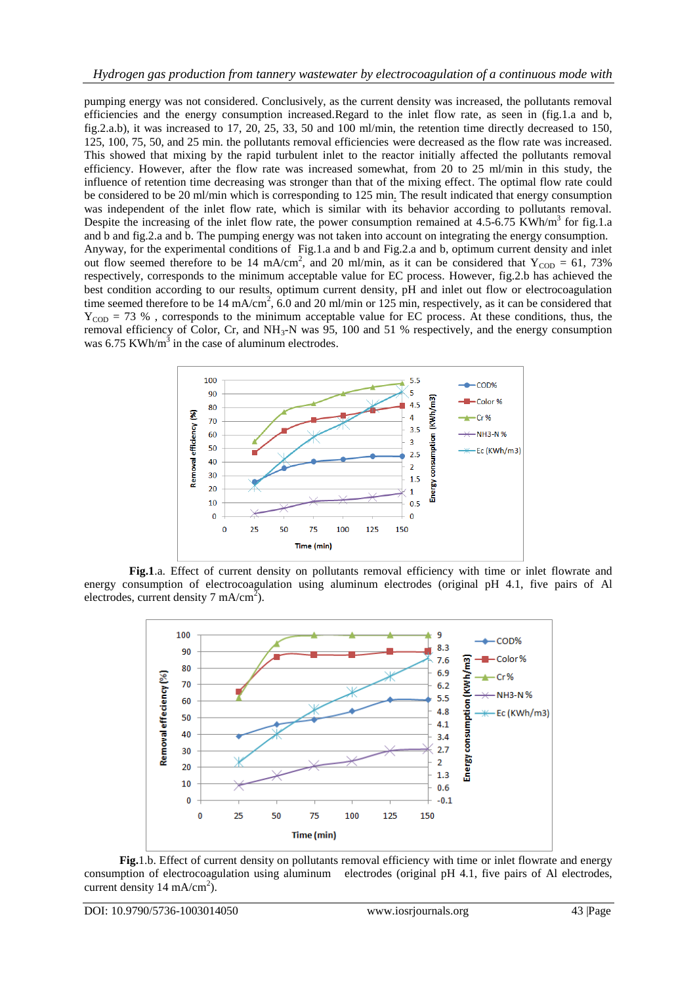pumping energy was not considered. Conclusively, as the current density was increased, the pollutants removal efficiencies and the energy consumption increased.Regard to the inlet flow rate, as seen in (fig.1.a and b, fig.2.a.b), it was increased to 17, 20, 25, 33, 50 and 100 ml/min, the retention time directly decreased to 150, 125, 100, 75, 50, and 25 min. the pollutants removal efficiencies were decreased as the flow rate was increased. This showed that mixing by the rapid turbulent inlet to the reactor initially affected the pollutants removal efficiency. However, after the flow rate was increased somewhat, from 20 to 25 ml/min in this study, the influence of retention time decreasing was stronger than that of the mixing effect. The optimal flow rate could be considered to be 20 ml/min which is corresponding to 125 min. The result indicated that energy consumption was independent of the inlet flow rate, which is similar with its behavior according to pollutants removal. Despite the increasing of the inlet flow rate, the power consumption remained at  $4.5\text{-}6.75$  KWh/m<sup>3</sup> for fig.1.a and b and fig.2.a and b. The pumping energy was not taken into account on integrating the energy consumption. Anyway, for the experimental conditions of Fig.1.a and b and Fig.2.a and b, optimum current density and inlet out flow seemed therefore to be 14 mA/cm<sup>2</sup>, and 20 ml/min, as it can be considered that  $Y_{\text{COD}} = 61, 73\%$ respectively, corresponds to the minimum acceptable value for EC process. However, fig.2.b has achieved the best condition according to our results, optimum current density, pH and inlet out flow or electrocoagulation time seemed therefore to be 14 mA/cm<sup>2</sup>, 6.0 and 20 ml/min or 125 min, respectively, as it can be considered that  $Y_{\text{COD}} = 73$  %, corresponds to the minimum acceptable value for EC process. At these conditions, thus, the removal efficiency of Color, Cr, and  $NH_3-N$  was 95, 100 and 51 % respectively, and the energy consumption was  $6.75$  KWh/m<sup>3</sup> in the case of aluminum electrodes.



**Fig.1**.a. Effect of current density on pollutants removal efficiency with time or inlet flowrate and energy consumption of electrocoagulation using aluminum electrodes (original pH 4.1, five pairs of Al electrodes, current density 7 mA/cm<sup>2</sup>).



 **Fig.**1.b. Effect of current density on pollutants removal efficiency with time or inlet flowrate and energy consumption of electrocoagulation using aluminum electrodes (original pH 4.1, five pairs of Al electrodes, current density  $14 \text{ mA/cm}^2$ ).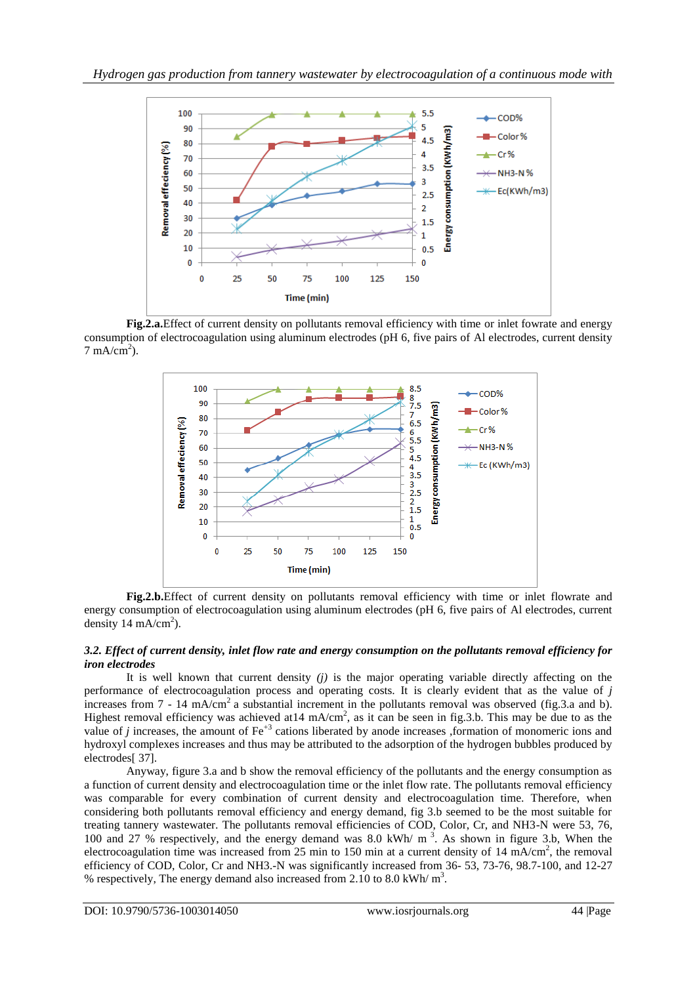

**Fig.2.a.**Effect of current density on pollutants removal efficiency with time or inlet fowrate and energy consumption of electrocoagulation using aluminum electrodes (pH 6, five pairs of Al electrodes, current density  $7 \text{ mA/cm}^2$ ).



**Fig.2.b.**Effect of current density on pollutants removal efficiency with time or inlet flowrate and energy consumption of electrocoagulation using aluminum electrodes (pH 6, five pairs of Al electrodes, current density 14 mA/cm<sup>2</sup>).

### *3.2. Effect of current density, inlet flow rate and energy consumption on the pollutants removal efficiency for iron electrodes*

It is well known that current density  $(i)$  is the major operating variable directly affecting on the performance of electrocoagulation process and operating costs. It is clearly evident that as the value of *j* increases from  $7 - 14$  mA/cm<sup>2</sup> a substantial increment in the pollutants removal was observed (fig.3.a and b). Highest removal efficiency was achieved at  $14 \text{ mA/cm}^2$ , as it can be seen in fig. 3.b. This may be due to as the value of *j* increases, the amount of Fe<sup>+3</sup> cations liberated by anode increases ,formation of monomeric ions and hydroxyl complexes increases and thus may be attributed to the adsorption of the hydrogen bubbles produced by electrodes[ 37].

Anyway, figure 3.a and b show the removal efficiency of the pollutants and the energy consumption as a function of current density and electrocoagulation time or the inlet flow rate. The pollutants removal efficiency was comparable for every combination of current density and electrocoagulation time. Therefore, when considering both pollutants removal efficiency and energy demand, fig 3.b seemed to be the most suitable for treating tannery wastewater. The pollutants removal efficiencies of COD, Color, Cr, and NH3-N were 53, 76, 100 and 27 % respectively, and the energy demand was 8.0 kWh/ m 3 . As shown in figure 3.b, When the electrocoagulation time was increased from 25 min to 150 min at a current density of 14 mA/cm<sup>2</sup>, the removal efficiency of COD, Color, Cr and NH3.-N was significantly increased from 36- 53, 73-76, 98.7-100, and 12-27 % respectively, The energy demand also increased from 2.10 to 8.0 kWh/ $m<sup>3</sup>$ .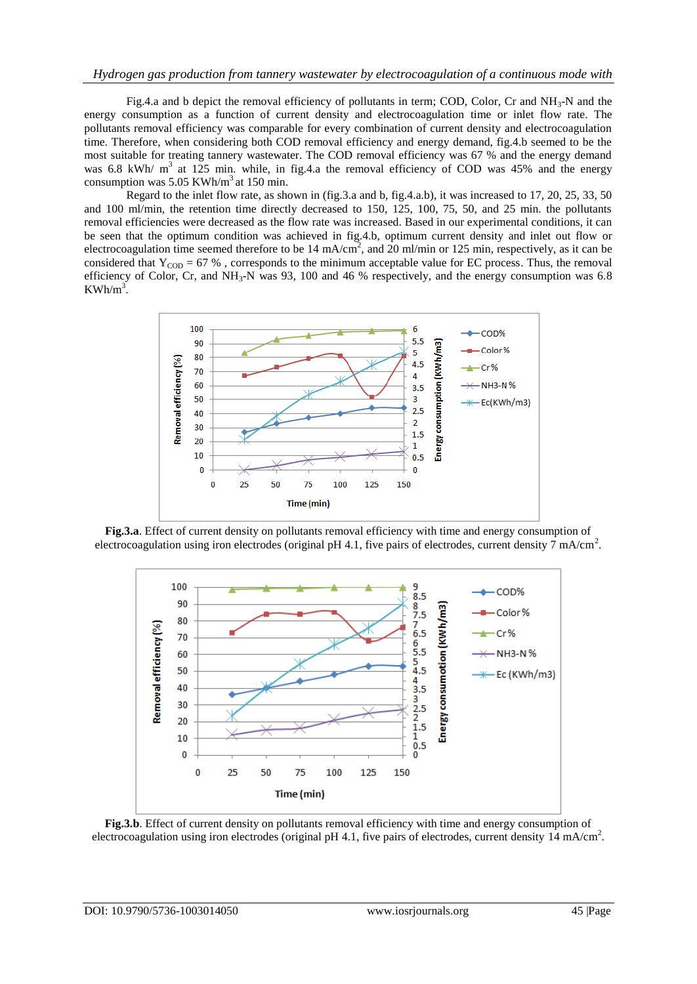Fig.4.a and b depict the removal efficiency of pollutants in term; COD, Color, Cr and  $NH<sub>3</sub>-N$  and the energy consumption as a function of current density and electrocoagulation time or inlet flow rate. The pollutants removal efficiency was comparable for every combination of current density and electrocoagulation time. Therefore, when considering both COD removal efficiency and energy demand, fig.4.b seemed to be the most suitable for treating tannery wastewater. The COD removal efficiency was 67 % and the energy demand was 6.8 kWh/ m<sup>3</sup> at 125 min. while, in fig.4.a the removal efficiency of COD was 45% and the energy consumption was  $5.05$  KWh/m<sup>3</sup> at 150 min.

Regard to the inlet flow rate, as shown in (fig.3.a and b, fig.4.a.b), it was increased to 17, 20, 25, 33, 50 and 100 ml/min, the retention time directly decreased to 150, 125, 100, 75, 50, and 25 min. the pollutants removal efficiencies were decreased as the flow rate was increased. Based in our experimental conditions, it can be seen that the optimum condition was achieved in fig.4.b, optimum current density and inlet out flow or electrocoagulation time seemed therefore to be  $14 \text{ mA/cm}^2$ , and  $20 \text{ ml/min}$  or  $125 \text{ min}$ , respectively, as it can be considered that  $Y_{\text{COD}} = 67\%$ , corresponds to the minimum acceptable value for EC process. Thus, the removal efficiency of Color, Cr, and  $NH_3-N$  was 93, 100 and 46 % respectively, and the energy consumption was 6.8  $KWh/m^3$ .



**Fig.3.a**. Effect of current density on pollutants removal efficiency with time and energy consumption of electrocoagulation using iron electrodes (original pH 4.1, five pairs of electrodes, current density  $\overline{7}$  mA/cm<sup>2</sup>.



**Fig.3.b**. Effect of current density on pollutants removal efficiency with time and energy consumption of electrocoagulation using iron electrodes (original pH 4.1, five pairs of electrodes, current density  $14 \text{ mA/cm}^2$ .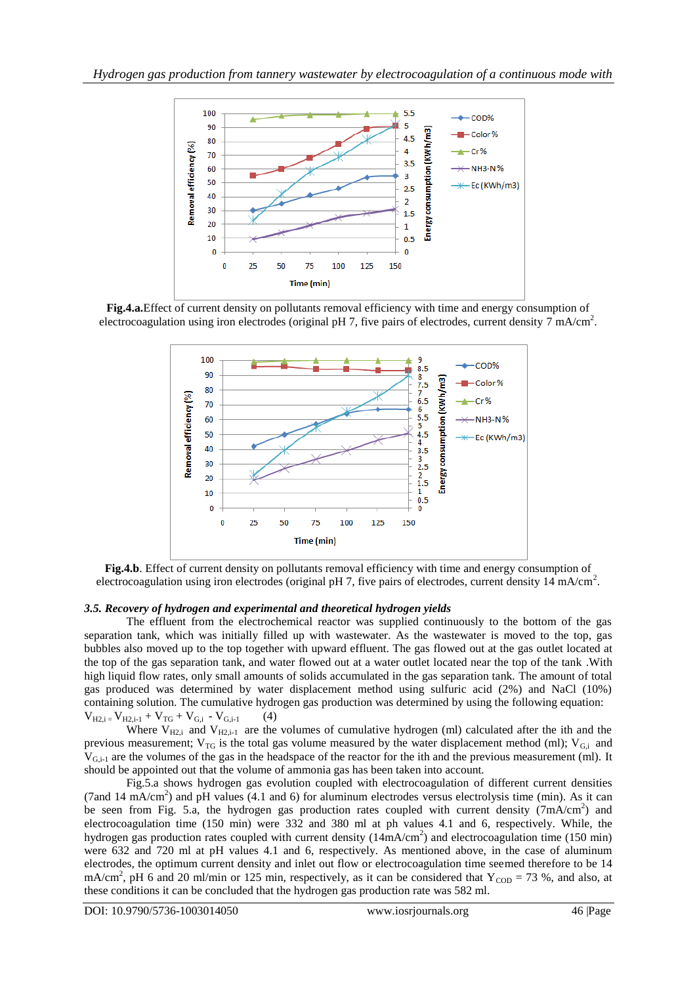

**Fig.4.a.**Effect of current density on pollutants removal efficiency with time and energy consumption of electrocoagulation using iron electrodes (original pH 7, five pairs of electrodes, current density 7 mA/cm<sup>2</sup>.



**Fig.4.b**. Effect of current density on pollutants removal efficiency with time and energy consumption of electrocoagulation using iron electrodes (original pH 7, five pairs of electrodes, current density 14 mA/cm<sup>2</sup>.

# *3.5. Recovery of hydrogen and experimental and theoretical hydrogen yields*

The effluent from the electrochemical reactor was supplied continuously to the bottom of the gas separation tank, which was initially filled up with wastewater. As the wastewater is moved to the top, gas bubbles also moved up to the top together with upward effluent. The gas flowed out at the gas outlet located at the top of the gas separation tank, and water flowed out at a water outlet located near the top of the tank .With high liquid flow rates, only small amounts of solids accumulated in the gas separation tank. The amount of total gas produced was determined by water displacement method using sulfuric acid (2%) and NaCl (10%) containing solution. The cumulative hydrogen gas production was determined by using the following equation:  $V_{H2,i} = V_{H2,i-1} + V_{TG} + V_{G,i} - V_{G,i-1}$  (4)

Where  $V_{H2,i}$  and  $V_{H2,i-1}$  are the volumes of cumulative hydrogen (ml) calculated after the ith and the previous measurement;  $V_{TG}$  is the total gas volume measured by the water displacement method (ml);  $V_{G,i}$  and V<sub>G,i-1</sub> are the volumes of the gas in the headspace of the reactor for the ith and the previous measurement (ml). It should be appointed out that the volume of ammonia gas has been taken into account.

Fig.5.a shows hydrogen gas evolution coupled with electrocoagulation of different current densities (7and 14 mA/cm<sup>2</sup>) and pH values (4.1 and 6) for aluminum electrodes versus electrolysis time (min). As it can be seen from Fig. 5.a, the hydrogen gas production rates coupled with current density (7mA/cm<sup>2</sup>) and electrocoagulation time (150 min) were 332 and 380 ml at ph values 4.1 and 6, respectively. While, the hydrogen gas production rates coupled with current density  $(14mA/cm<sup>2</sup>)$  and electrocoagulation time (150 min) were 632 and 720 ml at pH values 4.1 and 6, respectively. As mentioned above, in the case of aluminum electrodes, the optimum current density and inlet out flow or electrocoagulation time seemed therefore to be 14 mA/cm<sup>2</sup>, pH 6 and 20 ml/min or 125 min, respectively, as it can be considered that  $Y_{\text{COD}} = 73$ %, and also, at these conditions it can be concluded that the hydrogen gas production rate was 582 ml.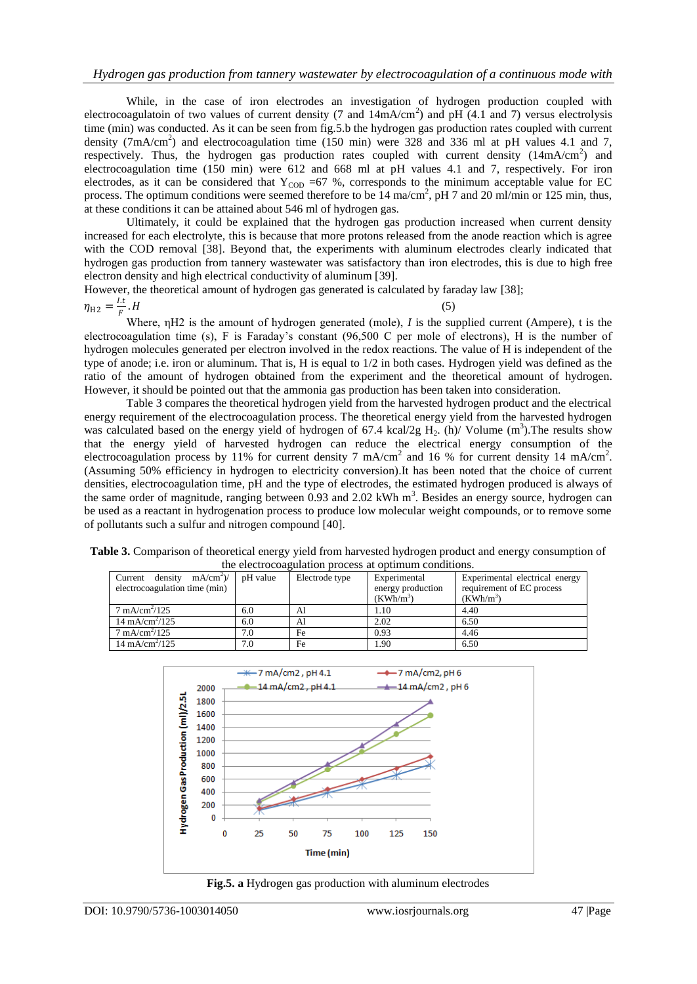While, in the case of iron electrodes an investigation of hydrogen production coupled with electrocoagulatoin of two values of current density (7 and  $14 \text{mA/cm}^2$ ) and pH (4.1 and 7) versus electrolysis time (min) was conducted. As it can be seen from fig.5.b the hydrogen gas production rates coupled with current density (7mA/cm<sup>2</sup>) and electrocoagulation time (150 min) were 328 and 336 ml at pH values 4.1 and 7, respectively. Thus, the hydrogen gas production rates coupled with current density  $(14mA/cm^2)$  and electrocoagulation time (150 min) were 612 and 668 ml at pH values 4.1 and 7, respectively. For iron electrodes, as it can be considered that  $Y_{\text{COD}} = 67$  %, corresponds to the minimum acceptable value for EC process. The optimum conditions were seemed therefore to be  $14 \text{ ma/cm}^2$ , pH 7 and 20 ml/min or 125 min, thus, at these conditions it can be attained about 546 ml of hydrogen gas.

Ultimately, it could be explained that the hydrogen gas production increased when current density increased for each electrolyte, this is because that more protons released from the anode reaction which is agree with the COD removal [38]. Beyond that, the experiments with aluminum electrodes clearly indicated that hydrogen gas production from tannery wastewater was satisfactory than iron electrodes, this is due to high free electron density and high electrical conductivity of aluminum [39].

However, the theoretical amount of hydrogen gas generated is calculated by faraday law [38];  $\eta_{\rm H2} = \frac{I.t}{F}$ F  $H$  (5)

Where, ηH2 is the amount of hydrogen generated (mole), *I* is the supplied current (Ampere), t is the electrocoagulation time (s), F is Faraday's constant (96,500 C per mole of electrons), H is the number of hydrogen molecules generated per electron involved in the redox reactions. The value of H is independent of the type of anode; i.e. iron or aluminum. That is, H is equal to 1/2 in both cases. Hydrogen yield was defined as the ratio of the amount of hydrogen obtained from the experiment and the theoretical amount of hydrogen. However, it should be pointed out that the ammonia gas production has been taken into consideration.

Table 3 compares the theoretical hydrogen yield from the harvested hydrogen product and the electrical energy requirement of the electrocoagulation process. The theoretical energy yield from the harvested hydrogen was calculated based on the energy yield of hydrogen of 67.4 kcal/2g  $H_2$ . (h)/ Volume (m<sup>3</sup>). The results show that the energy yield of harvested hydrogen can reduce the electrical energy consumption of the electrocoagulation process by 11% for current density 7 mA/cm<sup>2</sup> and 16 % for current density 14 mA/cm<sup>2</sup>. (Assuming 50% efficiency in hydrogen to electricity conversion).It has been noted that the choice of current densities, electrocoagulation time, pH and the type of electrodes, the estimated hydrogen produced is always of the same order of magnitude, ranging between  $0.93$  and  $2.02$  kWh m<sup>3</sup>. Besides an energy source, hydrogen can be used as a reactant in hydrogenation process to produce low molecular weight compounds, or to remove some of pollutants such a sulfur and nitrogen compound [40].

| the electrocoaguiation process at optimum conditions.         |          |                |                                                  |                                                                            |  |
|---------------------------------------------------------------|----------|----------------|--------------------------------------------------|----------------------------------------------------------------------------|--|
| Current density<br>$mA/cm^2$<br>electrocoagulation time (min) | pH value | Electrode type | Experimental<br>energy production<br>$(KWh/m^3)$ | Experimental electrical energy<br>requirement of EC process<br>$(KWh/m^3)$ |  |
| $7 \text{ mA/cm}^2/125$                                       | 6.0      | Al             | 1.10                                             | 4.40                                                                       |  |
| $14 \text{ mA/cm}^2/125$                                      | 6.0      | Al             | 2.02                                             | 6.50                                                                       |  |
| $7 \text{ mA/cm}^2/125$                                       | 7.0      | Fe             | 0.93                                             | 4.46                                                                       |  |
| $14 \text{ mA/cm}^2/125$                                      | 7.0      | Fe             | 1.90                                             | 6.50                                                                       |  |





**Fig.5. a** Hydrogen gas production with aluminum electrodes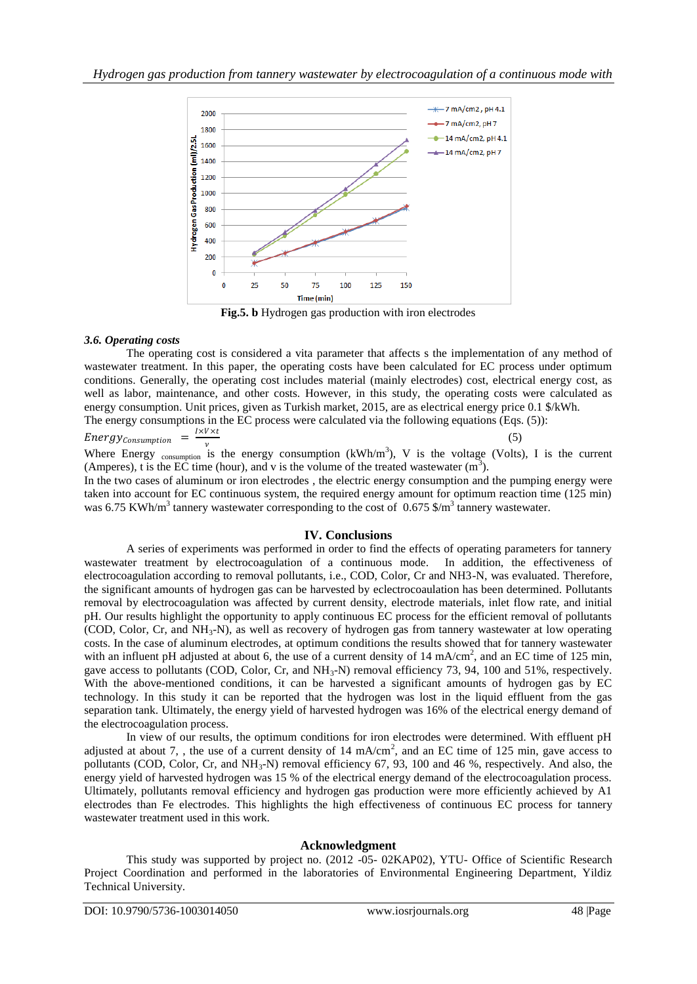

**Fig.5. b** Hydrogen gas production with iron electrodes

# *3.6. Operating costs*

The operating cost is considered a vita parameter that affects s the implementation of any method of wastewater treatment. In this paper, the operating costs have been calculated for EC process under optimum conditions. Generally, the operating cost includes material (mainly electrodes) cost, electrical energy cost, as well as labor, maintenance, and other costs. However, in this study, the operating costs were calculated as energy consumption. Unit prices, given as Turkish market, 2015, are as electrical energy price 0.1 \$/kWh. The energy consumptions in the EC process were calculated via the following equations (Eqs. (5)):

Energy<sub>consumption</sub> = 
$$
\frac{I \times V \times t}{v}
$$

 $(5)$ 

Where Energy consumption is the energy consumption (kWh/m<sup>3</sup>), V is the voltage (Volts), I is the current (Amperes), t is the EC time (hour), and v is the volume of the treated wastewater  $(m^3)$ .

In the two cases of aluminum or iron electrodes , the electric energy consumption and the pumping energy were taken into account for EC continuous system, the required energy amount for optimum reaction time (125 min) was 6.75 KWh/m<sup>3</sup> tannery wastewater corresponding to the cost of 0.675 \$/m<sup>3</sup> tannery wastewater.

# **IV. Conclusions**

A series of experiments was performed in order to find the effects of operating parameters for tannery wastewater treatment by electrocoagulation of a continuous mode. In addition, the effectiveness of electrocoagulation according to removal pollutants, i.e., COD, Color, Cr and NH3-N, was evaluated. Therefore, the significant amounts of hydrogen gas can be harvested by eclectrocoaulation has been determined. Pollutants removal by electrocoagulation was affected by current density, electrode materials, inlet flow rate, and initial pH. Our results highlight the opportunity to apply continuous EC process for the efficient removal of pollutants (COD, Color, Cr, and  $NH_3-N$ ), as well as recovery of hydrogen gas from tannery wastewater at low operating costs. In the case of aluminum electrodes, at optimum conditions the results showed that for tannery wastewater with an influent pH adjusted at about 6, the use of a current density of  $14 \text{ mA/cm}^2$ , and an EC time of  $125 \text{ min}$ , gave access to pollutants (COD, Color, Cr, and NH<sub>3</sub>-N) removal efficiency 73, 94, 100 and 51%, respectively. With the above-mentioned conditions, it can be harvested a significant amounts of hydrogen gas by EC technology. In this study it can be reported that the hydrogen was lost in the liquid effluent from the gas separation tank. Ultimately, the energy yield of harvested hydrogen was 16% of the electrical energy demand of the electrocoagulation process.

In view of our results, the optimum conditions for iron electrodes were determined. With effluent pH adjusted at about 7, , the use of a current density of 14 mA/cm<sup>2</sup>, and an EC time of 125 min, gave access to pollutants (COD, Color, Cr, and  $NH_3-N$ ) removal efficiency 67, 93, 100 and 46 %, respectively. And also, the energy yield of harvested hydrogen was 15 % of the electrical energy demand of the electrocoagulation process. Ultimately, pollutants removal efficiency and hydrogen gas production were more efficiently achieved by A1 electrodes than Fe electrodes. This highlights the high effectiveness of continuous EC process for tannery wastewater treatment used in this work.

# **Acknowledgment**

This study was supported by project no. (2012 -05- 02KAP02), YTU- Office of Scientific Research Project Coordination and performed in the laboratories of Environmental Engineering Department, Yildiz Technical University.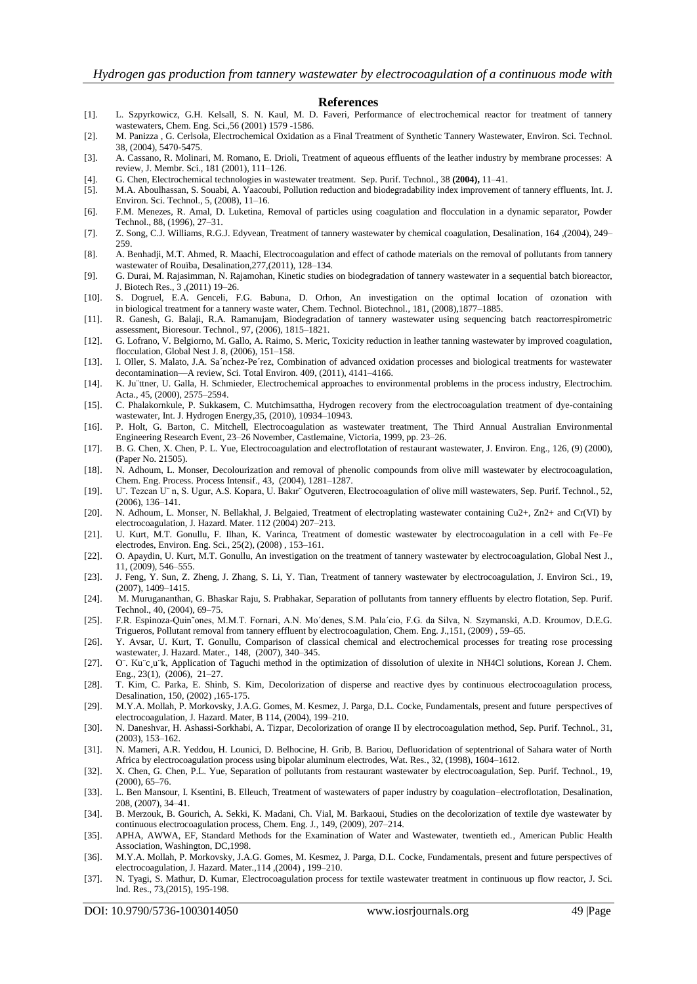#### **References**

- [1]. L. Szpyrkowicz, G.H. Kelsall, S. N. Kaul, M. D. Faveri, Performance of electrochemical reactor for treatment of tannery wastewaters, Chem. Eng. Sci.,56 (2001) 1579 -1586.
- [2]. M. Panizza , G. Cerlsola, Electrochemical Oxidation as a Final Treatment of Synthetic Tannery Wastewater, Environ. Sci. Technol. 38, (2004), 5470-5475.
- [3]. A. Cassano, R. Molinari, M. Romano, E. Drioli, Treatment of aqueous effluents of the leather industry by membrane processes: A review, J. Membr. Sci., 181 (2001), 111–126.
- [4]. G. Chen, Electrochemical technologies in wastewater treatment. Sep. Purif. Technol., 38 **(2004),** 11–41.
- [5]. M.A. Aboulhassan, S. Souabi, A. Yaacoubi, Pollution reduction and biodegradability index improvement of tannery effluents, Int. J. Environ. Sci. Technol., 5, (2008), 11–16.
- [6]. F.M. Menezes, R. Amal, D. Luketina, Removal of particles using coagulation and flocculation in a dynamic separator, Powder Technol., 88, (1996), 27–31.
- [7]. Z. Song, C.J. Williams, R.G.J. Edyvean, Treatment of tannery wastewater by chemical coagulation, Desalination, 164 ,(2004), 249– 259.
- [8]. A. Benhadji, M.T. Ahmed, R. Maachi, Electrocoagulation and effect of cathode materials on the removal of pollutants from tannery wastewater of Rouïba, Desalination,277,(2011), 128–134.
- [9]. G. Durai, M. Rajasimman, N. Rajamohan, Kinetic studies on biodegradation of tannery wastewater in a sequential batch bioreactor, J. Biotech Res., 3 ,(2011) 19–26.
- [10]. S. Dogruel, E.A. Genceli, F.G. Babuna, D. Orhon, An investigation on the optimal location of ozonation with in biological treatment for a tannery waste water, Chem. Technol. Biotechnol., 181, (2008),1877–1885.
- [11]. R. Ganesh, G. Balaji, R.A. Ramanujam, Biodegradation of tannery wastewater using sequencing batch reactorrespirometric assessment, Bioresour. Technol., 97, (2006), 1815–1821.
- [12]. G. Lofrano, V. Belgiorno, M. Gallo, A. Raimo, S. Meric, Toxicity reduction in leather tanning wastewater by improved coagulation, flocculation, Global Nest J. 8, (2006), 151–158.
- [13]. I. Oller, S. Malato, J.A. Sa´nchez-Pe´rez, Combination of advanced oxidation processes and biological treatments for wastewater decontamination—A review, Sci. Total Environ. 409, (2011), 4141–4166.
- [14]. K. Ju¨ttner, U. Galla, H. Schmieder, Electrochemical approaches to environmental problems in the process industry, Electrochim. Acta., 45, (2000), 2575–2594.
- [15]. C. Phalakornkule, P. Sukkasem, C. Mutchimsattha, Hydrogen recovery from the electrocoagulation treatment of dye-containing wastewater, Int. J. Hydrogen Energy,35, (2010), 10934–10943.
- [16]. P. Holt, G. Barton, C. Mitchell, Electrocoagulation as wastewater treatment, The Third Annual Australian Environmental Engineering Research Event, 23–26 November, Castlemaine, Victoria, 1999, pp. 23–26.
- [17]. B. G. Chen, X. Chen, P. L. Yue, Electrocoagulation and electroflotation of restaurant wastewater, J. Environ. Eng., 126, (9) (2000), (Paper No. 21505).
- [18]. N. Adhoum, L. Monser, Decolourization and removal of phenolic compounds from olive mill wastewater by electrocoagulation, Chem. Eng. Process. Process Intensif., 43, (2004), 1281–1287.
- [19]. U¨. Tezcan U¨ n, S. Ugur, A.S. Kopara, U. Bakır¨ Ogutveren, Electrocoagulation of olive mill wastewaters, Sep. Purif. Technol., 52, (2006), 136–141.
- [20]. N. Adhoum, L. Monser, N. Bellakhal, J. Belgaied, Treatment of electroplating wastewater containing Cu2+, Zn2+ and Cr(VI) by electrocoagulation, J. Hazard. Mater. 112 (2004) 207–213.
- [21]. U. Kurt, M.T. Gonullu, F. Ilhan, K. Varinca, Treatment of domestic wastewater by electrocoagulation in a cell with Fe–Fe electrodes, Environ. Eng. Sci., 25(2), (2008) , 153–161.
- [22]. O. Apaydin, U. Kurt, M.T. Gonullu, An investigation on the treatment of tannery wastewater by electrocoagulation, Global Nest J., 11, (2009), 546–555.
- [23]. J. Feng, Y. Sun, Z. Zheng, J. Zhang, S. Li, Y. Tian, Treatment of tannery wastewater by electrocoagulation, J. Environ Sci., 19, (2007), 1409–1415.
- [24]. M. Murugananthan, G. Bhaskar Raju, S. Prabhakar, Separation of pollutants from tannery effluents by electro flotation, Sep. Purif. Technol., 40, (2004), 69–75.
- [25]. F.R. Espinoza-Quin˜ones, M.M.T. Fornari, A.N. Mo´denes, S.M. Pala´cio, F.G. da Silva, N. Szymanski, A.D. Kroumov, D.E.G. Trigueros, Pollutant removal from tannery effluent by electrocoagulation, Chem. Eng. J.,151, (2009) , 59–65.
- [26]. Y. Avsar, U. Kurt, T. Gonullu, Comparison of classical chemical and electrochemical processes for treating rose processing wastewater, J. Hazard. Mater., 148, (2007), 340–345.
- [27]. O¨. Ku¨c¸u¨k, Application of Taguchi method in the optimization of dissolution of ulexite in NH4Cl solutions, Korean J. Chem. Eng., 23(1), (2006), 21–27.
- [28]. T. Kim, C. Parka, E. Shinb, S. Kim, Decolorization of disperse and reactive dyes by continuous electrocoagulation process, Desalination, 150, (2002) ,165-175.
- [29]. M.Y.A. Mollah, P. Morkovsky, J.A.G. Gomes, M. Kesmez, J. Parga, D.L. Cocke, Fundamentals, present and future perspectives of electrocoagulation, J. Hazard. Mater, B 114, (2004), 199–210.
- [30]. N. Daneshvar, H. Ashassi-Sorkhabi, A. Tizpar, Decolorization of orange II by electrocoagulation method, Sep. Purif. Technol., 31, (2003), 153–162.
- [31]. N. Mameri, A.R. Yeddou, H. Lounici, D. Belhocine, H. Grib, B. Bariou, Defluoridation of septentrional of Sahara water of North Africa by electrocoagulation process using bipolar aluminum electrodes, Wat. Res., 32, (1998), 1604–1612.
- [32]. X. Chen, G. Chen, P.L. Yue, Separation of pollutants from restaurant wastewater by electrocoagulation, Sep. Purif. Technol., 19, (2000), 65–76.
- [33]. L. Ben Mansour, I. Ksentini, B. Elleuch, Treatment of wastewaters of paper industry by coagulation–electroflotation, Desalination, 208, (2007), 34–41.
- [34]. B. Merzouk, B. Gourich, A. Sekki, K. Madani, Ch. Vial, M. Barkaoui, Studies on the decolorization of textile dye wastewater by continuous electrocoagulation process, Chem. Eng. J., 149, (2009), 207–214.
- [35]. APHA, AWWA, EF, Standard Methods for the Examination of Water and Wastewater, twentieth ed., American Public Health Association, Washington, DC,1998.
- [36]. M.Y.A. Mollah, P. Morkovsky, J.A.G. Gomes, M. Kesmez, J. Parga, D.L. Cocke, Fundamentals, present and future perspectives of electrocoagulation, J. Hazard. Mater.,114 ,(2004) , 199–210.
- [37]. N. Tyagi, S. Mathur, D. Kumar, Electrocoagulation process for textile wastewater treatment in continuous up flow reactor, J. Sci. Ind. Res., 73,(2015), 195-198.